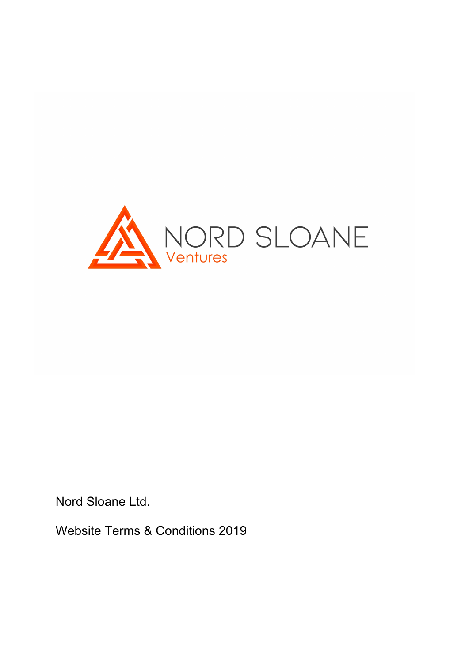

Nord Sloane Ltd.

Website Terms & Conditions 2019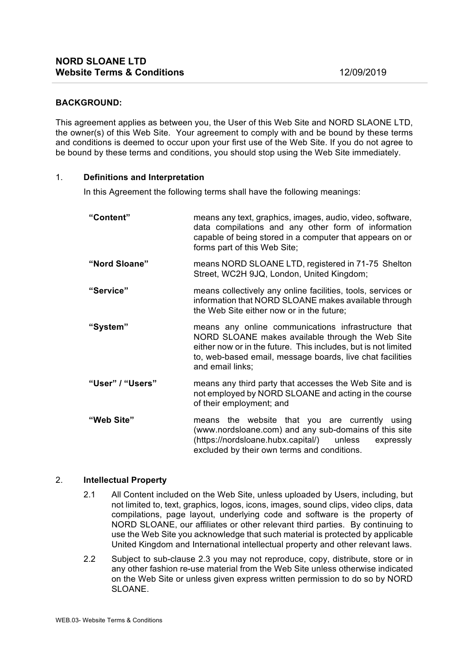## **BACKGROUND:**

This agreement applies as between you, the User of this Web Site and NORD SLAONE LTD, the owner(s) of this Web Site. Your agreement to comply with and be bound by these terms and conditions is deemed to occur upon your first use of the Web Site. If you do not agree to be bound by these terms and conditions, you should stop using the Web Site immediately.

#### 1. **Definitions and Interpretation**

In this Agreement the following terms shall have the following meanings:

| "Content"        | means any text, graphics, images, audio, video, software,<br>data compilations and any other form of information<br>capable of being stored in a computer that appears on or<br>forms part of this Web Site;                                               |
|------------------|------------------------------------------------------------------------------------------------------------------------------------------------------------------------------------------------------------------------------------------------------------|
| "Nord Sloane"    | means NORD SLOANE LTD, registered in 71-75 Shelton<br>Street, WC2H 9JQ, London, United Kingdom;                                                                                                                                                            |
| "Service"        | means collectively any online facilities, tools, services or<br>information that NORD SLOANE makes available through<br>the Web Site either now or in the future;                                                                                          |
| "System"         | means any online communications infrastructure that<br>NORD SLOANE makes available through the Web Site<br>either now or in the future. This includes, but is not limited<br>to, web-based email, message boards, live chat facilities<br>and email links; |
| "User" / "Users" | means any third party that accesses the Web Site and is<br>not employed by NORD SLOANE and acting in the course<br>of their employment; and                                                                                                                |
| "Web Site"       | means the website that you are currently using<br>(www.nordsloane.com) and any sub-domains of this site<br>(https://nordsloane.hubx.capital/) unless<br>expressly<br>excluded by their own terms and conditions.                                           |

# 2. **Intellectual Property**

- 2.1 All Content included on the Web Site, unless uploaded by Users, including, but not limited to, text, graphics, logos, icons, images, sound clips, video clips, data compilations, page layout, underlying code and software is the property of NORD SLOANE, our affiliates or other relevant third parties. By continuing to use the Web Site you acknowledge that such material is protected by applicable United Kingdom and International intellectual property and other relevant laws.
- 2.2 Subject to sub-clause 2.3 you may not reproduce, copy, distribute, store or in any other fashion re-use material from the Web Site unless otherwise indicated on the Web Site or unless given express written permission to do so by NORD SLOANE.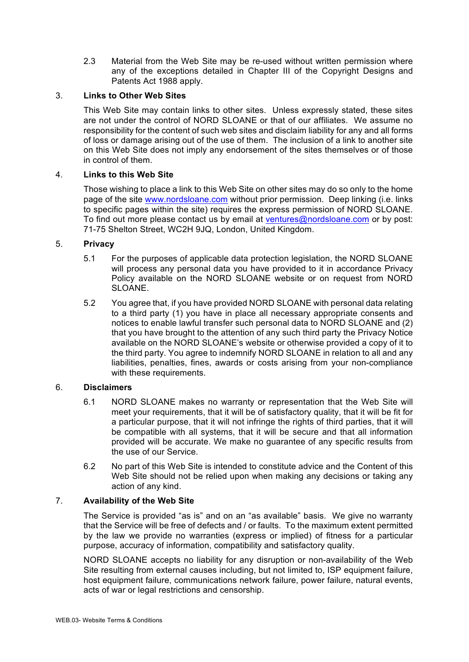2.3 Material from the Web Site may be re-used without written permission where any of the exceptions detailed in Chapter III of the Copyright Designs and Patents Act 1988 apply.

# 3. **Links to Other Web Sites**

This Web Site may contain links to other sites. Unless expressly stated, these sites are not under the control of NORD SLOANE or that of our affiliates. We assume no responsibility for the content of such web sites and disclaim liability for any and all forms of loss or damage arising out of the use of them. The inclusion of a link to another site on this Web Site does not imply any endorsement of the sites themselves or of those in control of them.

# 4. **Links to this Web Site**

Those wishing to place a link to this Web Site on other sites may do so only to the home page of the site www.nordsloane.com without prior permission. Deep linking (i.e. links to specific pages within the site) requires the express permission of NORD SLOANE. To find out more please contact us by email at ventures@nordsloane.com or by post: 71-75 Shelton Street, WC2H 9JQ, London, United Kingdom.

## 5. **Privacy**

- 5.1 For the purposes of applicable data protection legislation, the NORD SLOANE will process any personal data you have provided to it in accordance Privacy Policy available on the NORD SLOANE website or on request from NORD SLOANE.
- 5.2 You agree that, if you have provided NORD SLOANE with personal data relating to a third party (1) you have in place all necessary appropriate consents and notices to enable lawful transfer such personal data to NORD SLOANE and (2) that you have brought to the attention of any such third party the Privacy Notice available on the NORD SLOANE's website or otherwise provided a copy of it to the third party. You agree to indemnify NORD SLOANE in relation to all and any liabilities, penalties, fines, awards or costs arising from your non-compliance with these requirements.

#### 6. **Disclaimers**

- 6.1 NORD SLOANE makes no warranty or representation that the Web Site will meet your requirements, that it will be of satisfactory quality, that it will be fit for a particular purpose, that it will not infringe the rights of third parties, that it will be compatible with all systems, that it will be secure and that all information provided will be accurate. We make no guarantee of any specific results from the use of our Service.
- 6.2 No part of this Web Site is intended to constitute advice and the Content of this Web Site should not be relied upon when making any decisions or taking any action of any kind.

# 7. **Availability of the Web Site**

The Service is provided "as is" and on an "as available" basis. We give no warranty that the Service will be free of defects and / or faults. To the maximum extent permitted by the law we provide no warranties (express or implied) of fitness for a particular purpose, accuracy of information, compatibility and satisfactory quality.

NORD SLOANE accepts no liability for any disruption or non-availability of the Web Site resulting from external causes including, but not limited to, ISP equipment failure, host equipment failure, communications network failure, power failure, natural events, acts of war or legal restrictions and censorship.